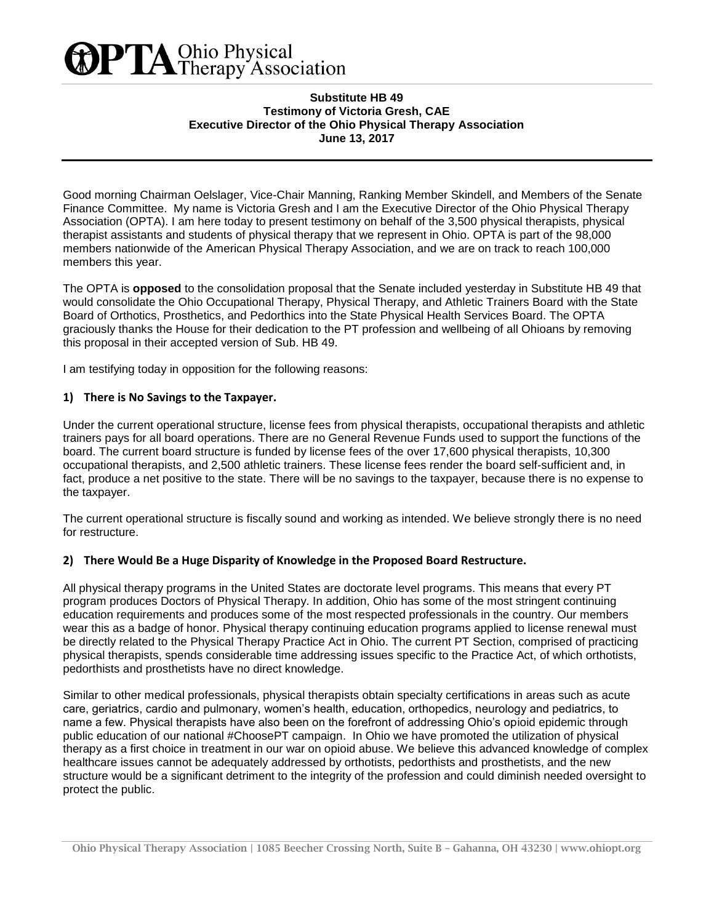# **PTA** Ohio Physical<br>Therapy Association

#### **Substitute HB 49 Testimony of Victoria Gresh, CAE Executive Director of the Ohio Physical Therapy Association June 13, 2017**

Good morning Chairman Oelslager, Vice-Chair Manning, Ranking Member Skindell, and Members of the Senate Finance Committee. My name is Victoria Gresh and I am the Executive Director of the Ohio Physical Therapy Association (OPTA). I am here today to present testimony on behalf of the 3,500 physical therapists, physical therapist assistants and students of physical therapy that we represent in Ohio. OPTA is part of the 98,000 members nationwide of the American Physical Therapy Association, and we are on track to reach 100,000 members this year.

The OPTA is **opposed** to the consolidation proposal that the Senate included yesterday in Substitute HB 49 that would consolidate the Ohio Occupational Therapy, Physical Therapy, and Athletic Trainers Board with the State Board of Orthotics, Prosthetics, and Pedorthics into the State Physical Health Services Board. The OPTA graciously thanks the House for their dedication to the PT profession and wellbeing of all Ohioans by removing this proposal in their accepted version of Sub. HB 49.

I am testifying today in opposition for the following reasons:

## **1) There is No Savings to the Taxpayer.**

Under the current operational structure, license fees from physical therapists, occupational therapists and athletic trainers pays for all board operations. There are no General Revenue Funds used to support the functions of the board. The current board structure is funded by license fees of the over 17,600 physical therapists, 10,300 occupational therapists, and 2,500 athletic trainers. These license fees render the board self-sufficient and, in fact, produce a net positive to the state. There will be no savings to the taxpayer, because there is no expense to the taxpayer.

The current operational structure is fiscally sound and working as intended. We believe strongly there is no need for restructure.

## **2) There Would Be a Huge Disparity of Knowledge in the Proposed Board Restructure.**

All physical therapy programs in the United States are doctorate level programs. This means that every PT program produces Doctors of Physical Therapy. In addition, Ohio has some of the most stringent continuing education requirements and produces some of the most respected professionals in the country. Our members wear this as a badge of honor. Physical therapy continuing education programs applied to license renewal must be directly related to the Physical Therapy Practice Act in Ohio. The current PT Section, comprised of practicing physical therapists, spends considerable time addressing issues specific to the Practice Act, of which orthotists, pedorthists and prosthetists have no direct knowledge.

Similar to other medical professionals, physical therapists obtain specialty certifications in areas such as acute care, geriatrics, cardio and pulmonary, women's health, education, orthopedics, neurology and pediatrics, to name a few. Physical therapists have also been on the forefront of addressing Ohio's opioid epidemic through public education of our national #ChoosePT campaign. In Ohio we have promoted the utilization of physical therapy as a first choice in treatment in our war on opioid abuse. We believe this advanced knowledge of complex healthcare issues cannot be adequately addressed by orthotists, pedorthists and prosthetists, and the new structure would be a significant detriment to the integrity of the profession and could diminish needed oversight to protect the public.